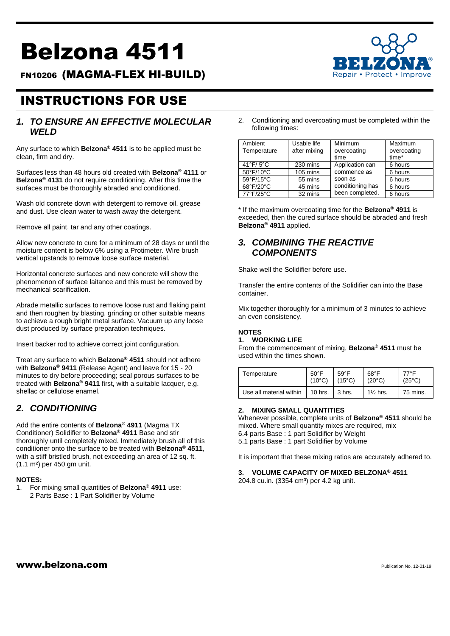# Belzona 4511

FN10206 (MAGMA-FLEX HI-BUILD)



# INSTRUCTIONS FOR USE

# *1. TO ENSURE AN EFFECTIVE MOLECULAR WELD*

Any surface to which **Belzona® 4511** is to be applied must be clean, firm and dry.

Surfaces less than 48 hours old created with **Belzona® 4111** or **Belzona® 4131** do not require conditioning. After this time the surfaces must be thoroughly abraded and conditioned.

Wash old concrete down with detergent to remove oil, grease and dust. Use clean water to wash away the detergent.

Remove all paint, tar and any other coatings.

Allow new concrete to cure for a minimum of 28 days or until the moisture content is below 6% using a Protimeter. Wire brush vertical upstands to remove loose surface material.

Horizontal concrete surfaces and new concrete will show the phenomenon of surface laitance and this must be removed by mechanical scarification.

Abrade metallic surfaces to remove loose rust and flaking paint and then roughen by blasting, grinding or other suitable means to achieve a rough bright metal surface. Vacuum up any loose dust produced by surface preparation techniques.

Insert backer rod to achieve correct joint configuration.

Treat any surface to which **Belzona® 4511** should not adhere with **Belzona® 9411** (Release Agent) and leave for 15 - 20 minutes to dry before proceeding; seal porous surfaces to be treated with **Belzona® 9411** first, with a suitable lacquer, e.g. shellac or cellulose enamel.

# *2. CONDITIONING*

Add the entire contents of **Belzona® 4911** (Magma TX Conditioner) Solidifier to **Belzona® 4911** Base and stir thoroughly until completely mixed. Immediately brush all of this conditioner onto the surface to be treated with **Belzona® 4511**, with a stiff bristled brush, not exceeding an area of 12 sq. ft. (1.1 m²) per 450 gm unit.

### **NOTES:**

1. For mixing small quantities of **Belzona® 4911** use: 2 Parts Base : 1 Part Solidifier by Volume

2. Conditioning and overcoating must be completed within the following times:

| Ambient<br>Temperature | Usable life<br>after mixing | Minimum<br>overcoating<br>time | Maximum<br>overcoating<br>time* |
|------------------------|-----------------------------|--------------------------------|---------------------------------|
| $41^{\circ}$ F/5°C     | 230 mins                    | Application can                | 6 hours                         |
| 50°F/10°C              | 105 mins                    | commence as                    | 6 hours                         |
| 59°F/15°C              | 55 mins                     | soon as                        | 6 hours                         |
| 68°F/20°C              | 45 mins                     | conditioning has               | 6 hours                         |
| 77°F/25°C              | 32 mins                     | been completed.                | 6 hours                         |

\* If the maximum overcoating time for the **Belzona® 4911** is exceeded, then the cured surface should be abraded and fresh **Belzona® 4911** applied.

# *3. COMBINING THE REACTIVE COMPONENTS*

Shake well the Solidifier before use.

Transfer the entire contents of the Solidifier can into the Base container.

Mix together thoroughly for a minimum of 3 minutes to achieve an even consistency.

# **NOTES**

# **1. WORKING LIFE**

From the commencement of mixing, **Belzona® 4511** must be used within the times shown.

| Temperature             | $50^{\circ}$ F  | $59^{\circ}$ F  | $68^{\circ}$ F  | 77°F            |
|-------------------------|-----------------|-----------------|-----------------|-----------------|
|                         | $(10^{\circ}C)$ | $(15^{\circ}C)$ | $(20^{\circ}C)$ | $(25^{\circ}C)$ |
| Use all material within | $10$ hrs.       | 3 hrs.          | $1\%$ hrs.      | 75 mins.        |

### **2. MIXING SMALL QUANTITIES**

Whenever possible, complete units of **Belzona® 4511** should be mixed. Where small quantity mixes are required, mix 6.4 parts Base : 1 part Solidifier by Weight 5.1 parts Base : 1 part Solidifier by Volume

It is important that these mixing ratios are accurately adhered to.

# **3. VOLUME CAPACITY OF MIXED BELZONA® 4511**

204.8 cu.in. (3354 cm<sup>3</sup>) per 4.2 kg unit.